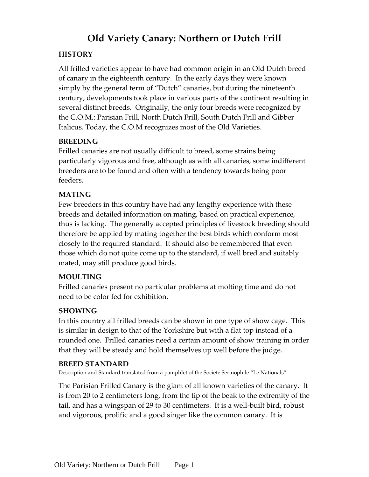# **Old Variety Canary: Northern or Dutch Frill**

#### **HISTORY**

All frilled varieties appear to have had common origin in an Old Dutch breed of canary in the eighteenth century. In the early days they were known simply by the general term of "Dutch" canaries, but during the nineteenth century, developments took place in various parts of the continent resulting in several distinct breeds. Originally, the only four breeds were recognized by the C.O.M.: Parisian Frill, North Dutch Frill, South Dutch Frill and Gibber Italicus. Today, the C.O.M recognizes most of the Old Varieties.

#### **BREEDING**

Frilled canaries are not usually difficult to breed, some strains being particularly vigorous and free, although as with all canaries, some indifferent breeders are to be found and often with a tendency towards being poor feeders.

## **MATING**

Few breeders in this country have had any lengthy experience with these breeds and detailed information on mating, based on practical experience, thus is lacking. The generally accepted principles of livestock breeding should therefore be applied by mating together the best birds which conform most closely to the required standard. It should also be remembered that even those which do not quite come up to the standard, if well bred and suitably mated, may still produce good birds.

## **MOULTING**

Frilled canaries present no particular problems at molting time and do not need to be color fed for exhibition.

## **SHOWING**

In this country all frilled breeds can be shown in one type of show cage. This is similar in design to that of the Yorkshire but with a flat top instead of a rounded one. Frilled canaries need a certain amount of show training in order that they will be steady and hold themselves up well before the judge.

## **BREED STANDARD**

Description and Standard translated from a pamphlet of the Societe Serinophile "Le Nationals"

The Parisian Frilled Canary is the giant of all known varieties of the canary. It is from 20 to 2 centimeters long, from the tip of the beak to the extremity of the tail, and has a wingspan of 29 to 30 centimeters. It is a well-built bird, robust and vigorous, prolific and a good singer like the common canary. It is